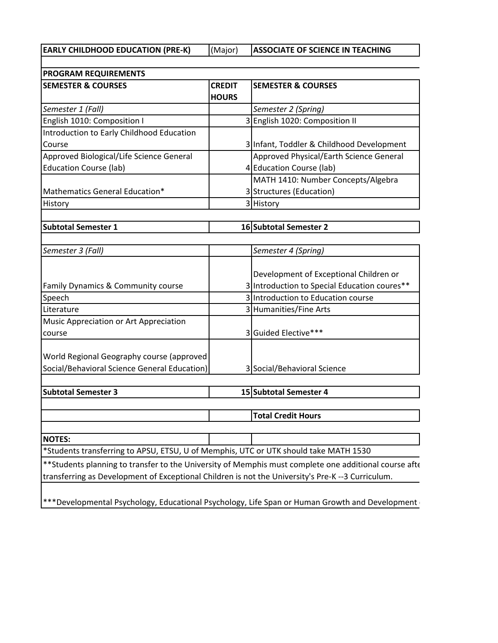**EARLY CHILDHOOD EDUCATION (PRE-K)** (Major) **ASSOCIATE OF SCIENCE IN TEACHING**

**SEMESTER & COURSES CREDIT SEMESTER & COURSES HOURS** *Semester 1 (Fall) Semester 2 (Spring)* English 1010: Composition I 3 English 1020: Composition II Introduction to Early Childhood Education Course 3 Infant, Toddler & Childhood Development Approved Biological/Life Science General Education Course (lab) 4 Approved Physical/Earth Science General Education Course (lab) Mathematics General Education\* 3 MATH 1410: Number Concepts/Algebra Structures (Education) History **3** History **3 PROGRAM REQUIREMENTS**

| <b>Subtotal Semester 1</b> | 16 Subtotal Semester 2 |
|----------------------------|------------------------|
|----------------------------|------------------------|

| Semester 3 (Fall)                             | Semester 4 (Spring)                          |  |  |  |
|-----------------------------------------------|----------------------------------------------|--|--|--|
|                                               |                                              |  |  |  |
|                                               | Development of Exceptional Children or       |  |  |  |
| <b>Family Dynamics &amp; Community course</b> | 3 Introduction to Special Education coures** |  |  |  |
| Speech                                        | 3 Introduction to Education course           |  |  |  |
| Literature                                    | 3 Humanities/Fine Arts                       |  |  |  |
| Music Appreciation or Art Appreciation        |                                              |  |  |  |
| course                                        | 3 Guided Elective***                         |  |  |  |
|                                               |                                              |  |  |  |
| World Regional Geography course (approved     |                                              |  |  |  |
| Social/Behavioral Science General Education)  | 3 Social/Behavioral Science                  |  |  |  |

**Subtotal Semester 3 15 Subtotal Semester 4**

**Total Credit Hours**

**NOTES:** \*Students transferring to APSU, ETSU, U of Memphis, UTC or UTK should take MATH 1530

\*\* Students planning to transfer to the University of Memphis must complete one additional course afte transferring as Development of Exceptional Children is not the University's Pre-K --3 Curriculum.

\*\*\*Developmental Psychology, Educational Psychology, Life Span or Human Growth and Development